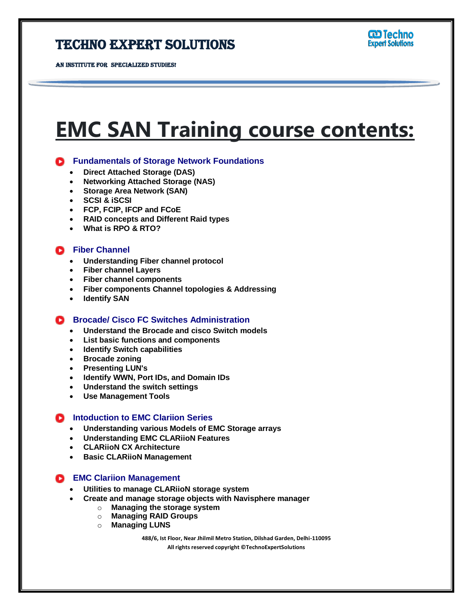## Techno Expert Solutions

AN INSTITUTE FOR SPECIALIZED STUDIES!

# **EMC SAN Training course contents:**

### **Fundamentals of Storage Network Foundations**

- **Direct Attached Storage (DAS)**
- **Networking Attached Storage (NAS)**
- **Storage Area Network (SAN)**
- **SCSI & iSCSI**
- **FCP, FCIP, IFCP and FCoE**
- **RAID concepts and Different Raid types**
- **What is RPO & RTO?**

#### **C** Fiber Channel

- **Understanding Fiber channel protocol**
- **Fiber channel Layers**
- **Fiber channel components**
- **Fiber components Channel topologies & Addressing**
- **Identify SAN**

#### **Brocade/ Cisco FC Switches Administration**

- **Understand the Brocade and cisco Switch models**
- **List basic functions and components**
- **Identify Switch capabilities**
- **Brocade zoning**
- **Presenting LUN's**
- **Identify WWN, Port IDs, and Domain IDs**
- **Understand the switch settings**
- **Use Management Tools**

#### **C** Intoduction to EMC Clariion Series

- **Understanding various Models of EMC Storage arrays**
- **Understanding EMC CLARiioN Features**
- **CLARiioN CX Architecture**
- **Basic CLARiioN Management**

#### **EMC Clariion Management**

- **Utilities to manage CLARiioN storage system**
- **Create and manage storage objects with Navisphere manager**
	- o **Managing the storage system**
	- o **Managing RAID Groups**
	- o **Managing LUNS**

**488/6, Ist Floor, Near Jhilmil Metro Station, Dilshad Garden, Delhi-110095 All rights reserved copyright ©TechnoExpertSolutions**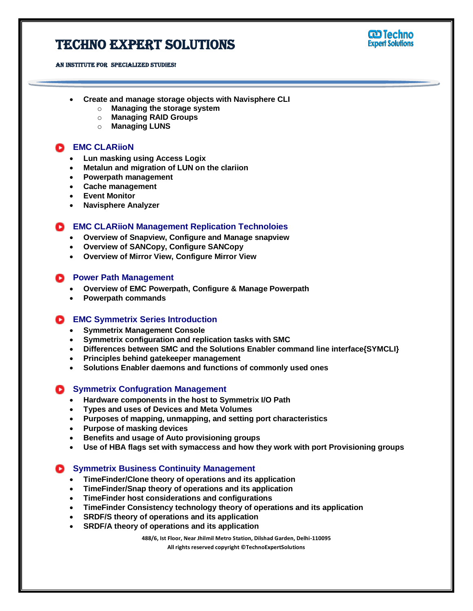## Techno Expert Solutions

#### AN INSTITUTE FOR SPECIALIZED STUDIES!



- **Create and manage storage objects with Navisphere CLI**
	- o **Managing the storage system**
	- o **Managing RAID Groups**
	- o **Managing LUNS**

### **B** EMC CLARIION

- **Lun masking using Access Logix**
- **Metalun and migration of LUN on the clariion**
- **Powerpath management**
- **Cache management**
- **Event Monitor**
- **Navisphere Analyzer**

#### **EMC CLARiioN Management Replication Technoloies**

- **Overview of Snapview, Configure and Manage snapview**
- **Overview of SANCopy, Configure SANCopy**
- **Overview of Mirror View, Configure Mirror View**

#### **Power Path Management**

- **Overview of EMC Powerpath, Configure & Manage Powerpath**
- **Powerpath commands**

#### **EMC Symmetrix Series Introduction**

- **Symmetrix Management Console**
- **Symmetrix configuration and replication tasks with SMC**
- **Differences between SMC and the Solutions Enabler command line interface{SYMCLI}**
- **Principles behind gatekeeper management**
- **Solutions Enabler daemons and functions of commonly used ones**

#### **Symmetrix Confugration Management**

- **Hardware components in the host to Symmetrix I/O Path**
- **Types and uses of Devices and Meta Volumes**
- **Purposes of mapping, unmapping, and setting port characteristics**
- **Purpose of masking devices**
- **Benefits and usage of Auto provisioning groups**
- **Use of HBA flags set with symaccess and how they work with port Provisioning groups**

#### **Symmetrix Business Continuity Management**

- **TimeFinder/Clone theory of operations and its application**
- **TimeFinder/Snap theory of operations and its application**
- **TimeFinder host considerations and configurations**
- **TimeFinder Consistency technology theory of operations and its application**
- **SRDF/S theory of operations and its application**
- **SRDF/A theory of operations and its application**

**488/6, Ist Floor, Near Jhilmil Metro Station, Dilshad Garden, Delhi-110095 All rights reserved copyright ©TechnoExpertSolutions**